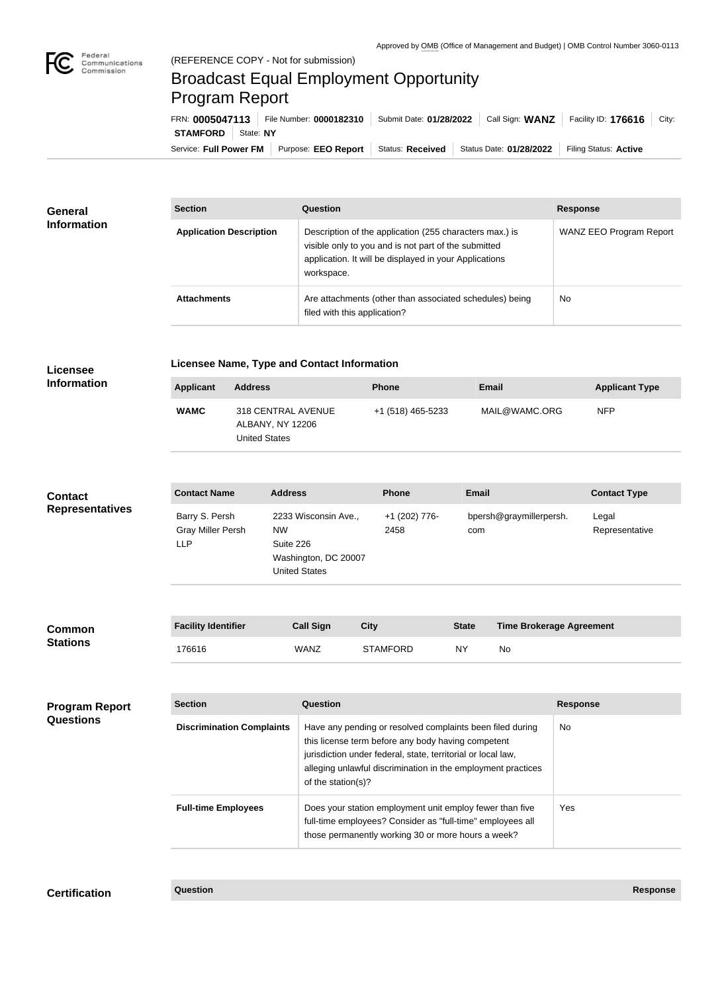## Broadcast Equal Employment Opportunity Program Report

Service: Full Power FM Purpose: EEO Report | Status: Received | Status Date: 01/28/2022 | Filing Status: Active **STAMFORD** State: NY FRN: **0005047113** File Number: **0000182310** Submit Date: **01/28/2022** Call Sign: **WANZ** Facility ID: **176616** City:

| <b>General</b><br><b>Information</b> | <b>Section</b>                 | Question                                                                                                                                                                                | <b>Response</b>         |  |
|--------------------------------------|--------------------------------|-----------------------------------------------------------------------------------------------------------------------------------------------------------------------------------------|-------------------------|--|
|                                      | <b>Application Description</b> | Description of the application (255 characters max.) is<br>visible only to you and is not part of the submitted<br>application. It will be displayed in your Applications<br>workspace. | WANZ EEO Program Report |  |
|                                      | <b>Attachments</b>             | Are attachments (other than associated schedules) being<br>filed with this application?                                                                                                 | <b>No</b>               |  |

| <b>Licensee</b><br><b>Information</b>    | <b>Licensee Name, Type and Contact Information</b> |                                                                |                                                                                                                                                                              |                                                                                                                                                                                                                                                                       |              |                                                 |                 |                         |
|------------------------------------------|----------------------------------------------------|----------------------------------------------------------------|------------------------------------------------------------------------------------------------------------------------------------------------------------------------------|-----------------------------------------------------------------------------------------------------------------------------------------------------------------------------------------------------------------------------------------------------------------------|--------------|-------------------------------------------------|-----------------|-------------------------|
|                                          | <b>Applicant</b>                                   | <b>Address</b>                                                 |                                                                                                                                                                              | Phone                                                                                                                                                                                                                                                                 | <b>Email</b> |                                                 |                 | <b>Applicant Type</b>   |
|                                          | <b>WAMC</b>                                        | 318 CENTRAL AVENUE<br>ALBANY, NY 12206<br><b>United States</b> |                                                                                                                                                                              | +1 (518) 465-5233                                                                                                                                                                                                                                                     |              | MAIL@WAMC.ORG                                   |                 | <b>NFP</b>              |
|                                          | <b>Contact Name</b>                                | <b>Address</b>                                                 |                                                                                                                                                                              | <b>Phone</b>                                                                                                                                                                                                                                                          | <b>Email</b> |                                                 |                 | <b>Contact Type</b>     |
| <b>Contact</b><br><b>Representatives</b> | Barry S. Persh<br>Gray Miller Persh<br><b>LLP</b>  | <b>NW</b><br>Suite 226                                         | 2233 Wisconsin Ave.,<br>Washington, DC 20007<br><b>United States</b>                                                                                                         | +1 (202) 776-<br>2458                                                                                                                                                                                                                                                 | com          | bpersh@graymillerpersh.                         |                 | Legal<br>Representative |
|                                          |                                                    |                                                                |                                                                                                                                                                              |                                                                                                                                                                                                                                                                       |              |                                                 |                 |                         |
| <b>Common</b><br><b>Stations</b>         | <b>Facility Identifier</b>                         |                                                                | <b>Call Sign</b>                                                                                                                                                             | <b>City</b>                                                                                                                                                                                                                                                           |              | <b>Time Brokerage Agreement</b><br><b>State</b> |                 |                         |
|                                          | 176616                                             |                                                                | <b>WANZ</b>                                                                                                                                                                  | <b>STAMFORD</b>                                                                                                                                                                                                                                                       | <b>NY</b>    | No                                              |                 |                         |
|                                          |                                                    |                                                                |                                                                                                                                                                              |                                                                                                                                                                                                                                                                       |              |                                                 |                 |                         |
| <b>Program Report</b><br>Questions       | <b>Section</b>                                     |                                                                | <b>Question</b>                                                                                                                                                              |                                                                                                                                                                                                                                                                       |              |                                                 | <b>Response</b> |                         |
|                                          | <b>Discrimination Complaints</b>                   |                                                                |                                                                                                                                                                              | Have any pending or resolved complaints been filed during<br>this license term before any body having competent<br>jurisdiction under federal, state, territorial or local law,<br>alleging unlawful discrimination in the employment practices<br>of the station(s)? |              |                                                 |                 |                         |
|                                          | <b>Full-time Employees</b>                         |                                                                | Does your station employment unit employ fewer than five<br>full-time employees? Consider as "full-time" employees all<br>those permanently working 30 or more hours a week? |                                                                                                                                                                                                                                                                       |              |                                                 | Yes             |                         |
|                                          |                                                    |                                                                |                                                                                                                                                                              |                                                                                                                                                                                                                                                                       |              |                                                 |                 |                         |